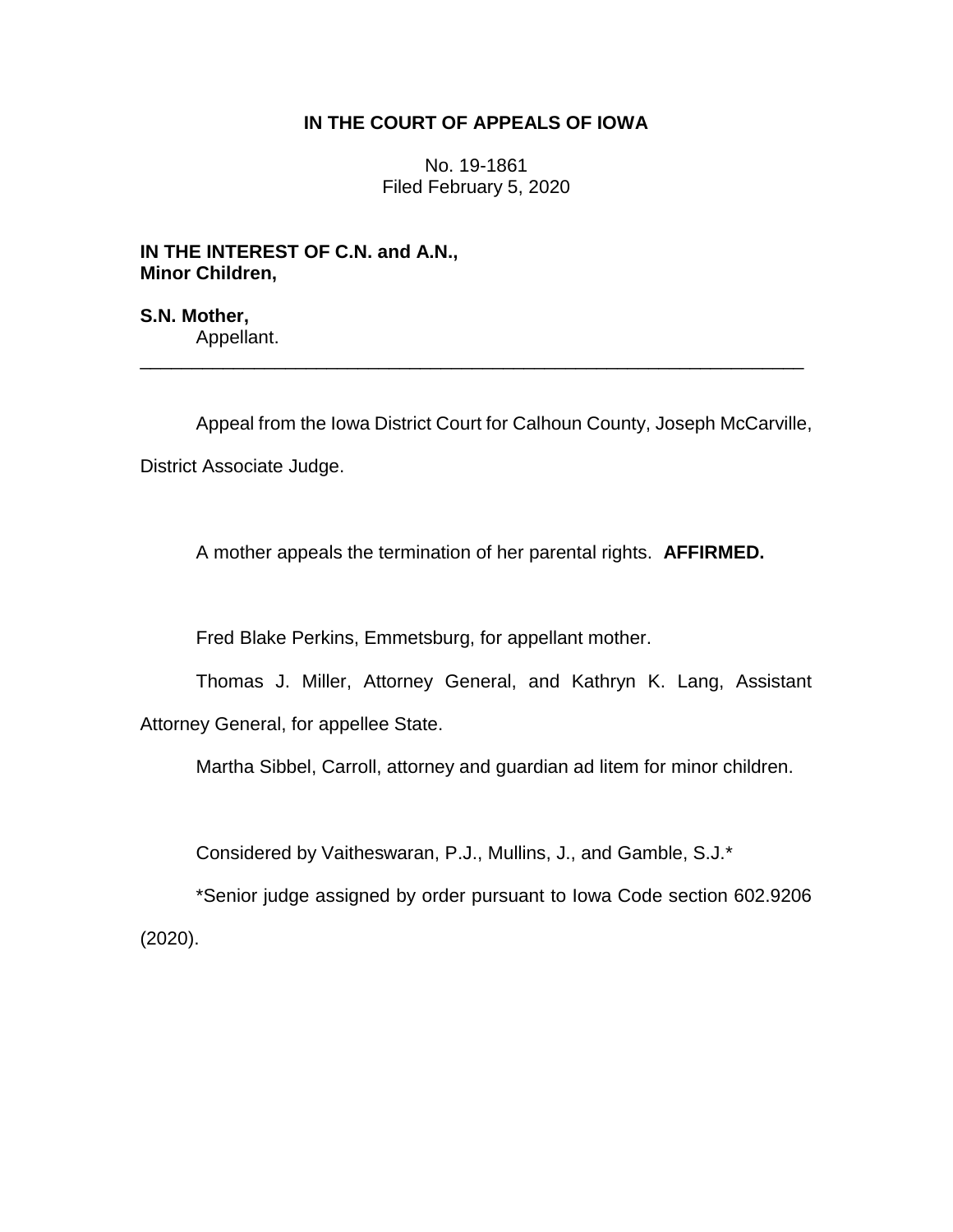# **IN THE COURT OF APPEALS OF IOWA**

No. 19-1861 Filed February 5, 2020

**IN THE INTEREST OF C.N. and A.N., Minor Children,**

**S.N. Mother,** Appellant.

Appeal from the Iowa District Court for Calhoun County, Joseph McCarville, District Associate Judge.

\_\_\_\_\_\_\_\_\_\_\_\_\_\_\_\_\_\_\_\_\_\_\_\_\_\_\_\_\_\_\_\_\_\_\_\_\_\_\_\_\_\_\_\_\_\_\_\_\_\_\_\_\_\_\_\_\_\_\_\_\_\_\_\_

A mother appeals the termination of her parental rights. **AFFIRMED.**

Fred Blake Perkins, Emmetsburg, for appellant mother.

Thomas J. Miller, Attorney General, and Kathryn K. Lang, Assistant Attorney General, for appellee State.

Martha Sibbel, Carroll, attorney and guardian ad litem for minor children.

Considered by Vaitheswaran, P.J., Mullins, J., and Gamble, S.J.\*

\*Senior judge assigned by order pursuant to Iowa Code section 602.9206 (2020).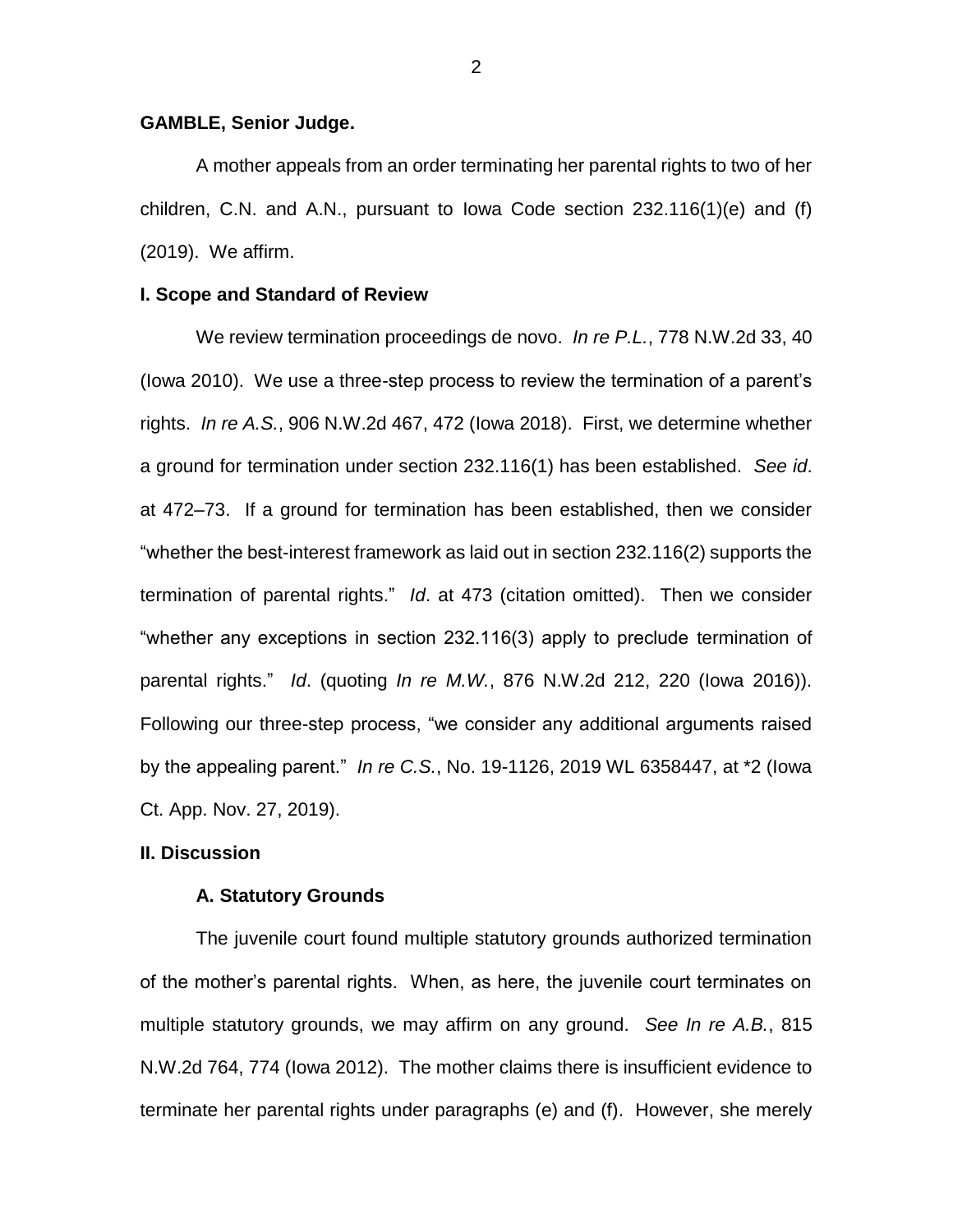# **GAMBLE, Senior Judge.**

A mother appeals from an order terminating her parental rights to two of her children, C.N. and A.N., pursuant to Iowa Code section 232.116(1)(e) and (f) (2019). We affirm.

#### **I. Scope and Standard of Review**

We review termination proceedings de novo. *In re P.L.*, 778 N.W.2d 33, 40 (Iowa 2010). We use a three-step process to review the termination of a parent's rights. *In re A.S.*, 906 N.W.2d 467, 472 (Iowa 2018). First, we determine whether a ground for termination under section 232.116(1) has been established. *See id*. at 472–73. If a ground for termination has been established, then we consider "whether the best-interest framework as laid out in section 232.116(2) supports the termination of parental rights." *Id*. at 473 (citation omitted). Then we consider "whether any exceptions in section 232.116(3) apply to preclude termination of parental rights." *Id*. (quoting *In re M.W.*, 876 N.W.2d 212, 220 (Iowa 2016)). Following our three-step process, "we consider any additional arguments raised by the appealing parent." *In re C.S.*, No. 19-1126, 2019 WL 6358447, at \*2 (Iowa Ct. App. Nov. 27, 2019).

# **II. Discussion**

#### **A. Statutory Grounds**

The juvenile court found multiple statutory grounds authorized termination of the mother's parental rights. When, as here, the juvenile court terminates on multiple statutory grounds, we may affirm on any ground. *See In re A.B.*, 815 N.W.2d 764, 774 (Iowa 2012). The mother claims there is insufficient evidence to terminate her parental rights under paragraphs (e) and (f). However, she merely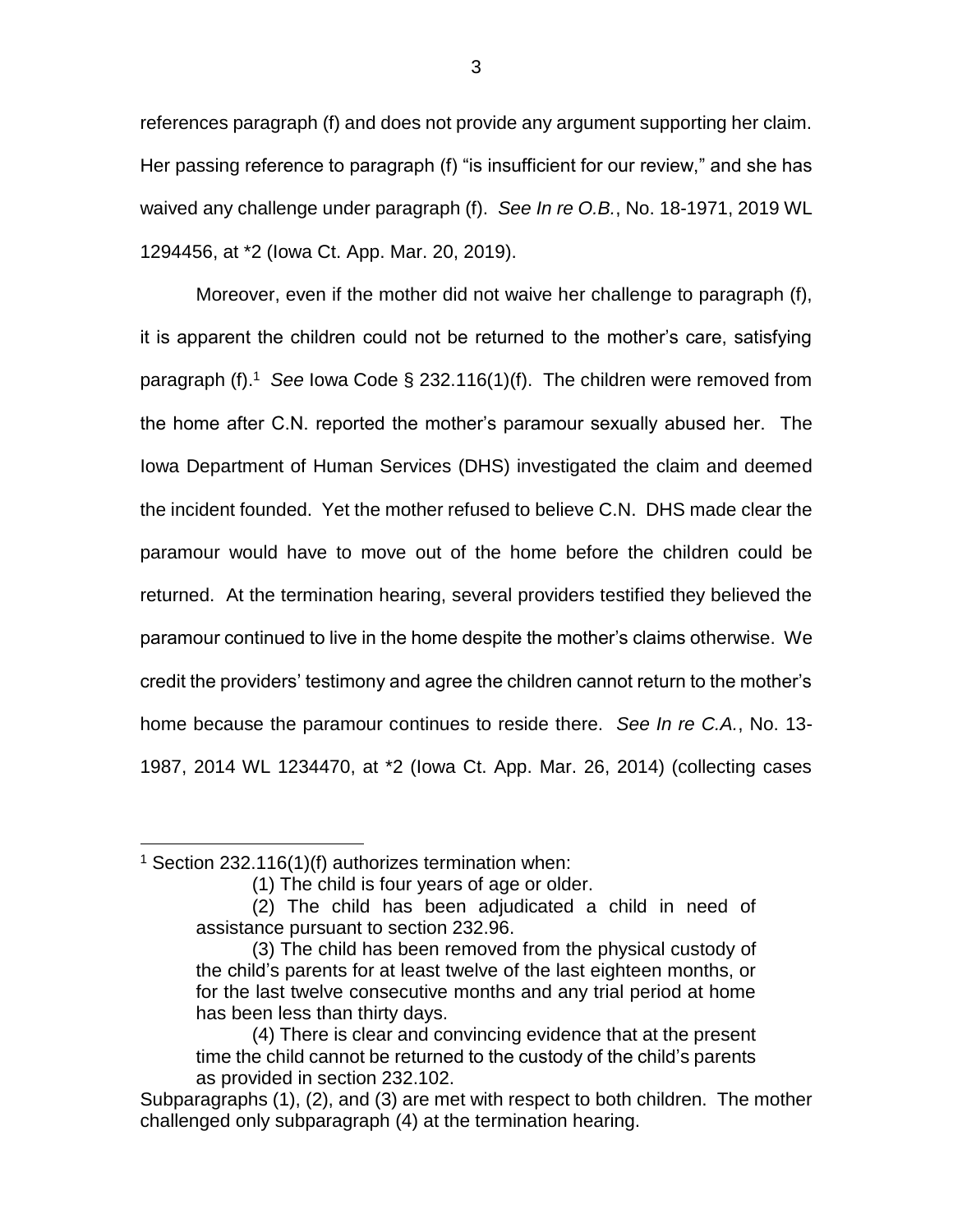references paragraph (f) and does not provide any argument supporting her claim. Her passing reference to paragraph (f) "is insufficient for our review," and she has waived any challenge under paragraph (f). *See In re O.B.*, No. 18-1971, 2019 WL 1294456, at \*2 (Iowa Ct. App. Mar. 20, 2019).

Moreover, even if the mother did not waive her challenge to paragraph (f), it is apparent the children could not be returned to the mother's care, satisfying paragraph (f).<sup>1</sup> See Iowa Code § 232.116(1)(f). The children were removed from the home after C.N. reported the mother's paramour sexually abused her. The Iowa Department of Human Services (DHS) investigated the claim and deemed the incident founded. Yet the mother refused to believe C.N. DHS made clear the paramour would have to move out of the home before the children could be returned. At the termination hearing, several providers testified they believed the paramour continued to live in the home despite the mother's claims otherwise. We credit the providers' testimony and agree the children cannot return to the mother's home because the paramour continues to reside there. *See In re C.A.*, No. 13- 1987, 2014 WL 1234470, at \*2 (Iowa Ct. App. Mar. 26, 2014) (collecting cases

 $\overline{a}$ 

<sup>&</sup>lt;sup>1</sup> Section 232.116(1)(f) authorizes termination when:

<sup>(1)</sup> The child is four years of age or older.

<sup>(2)</sup> The child has been adjudicated a child in need of assistance pursuant to section 232.96.

<sup>(3)</sup> The child has been removed from the physical custody of the child's parents for at least twelve of the last eighteen months, or for the last twelve consecutive months and any trial period at home has been less than thirty days.

<sup>(4)</sup> There is clear and convincing evidence that at the present time the child cannot be returned to the custody of the child's parents as provided in section 232.102.

Subparagraphs (1), (2), and (3) are met with respect to both children. The mother challenged only subparagraph (4) at the termination hearing.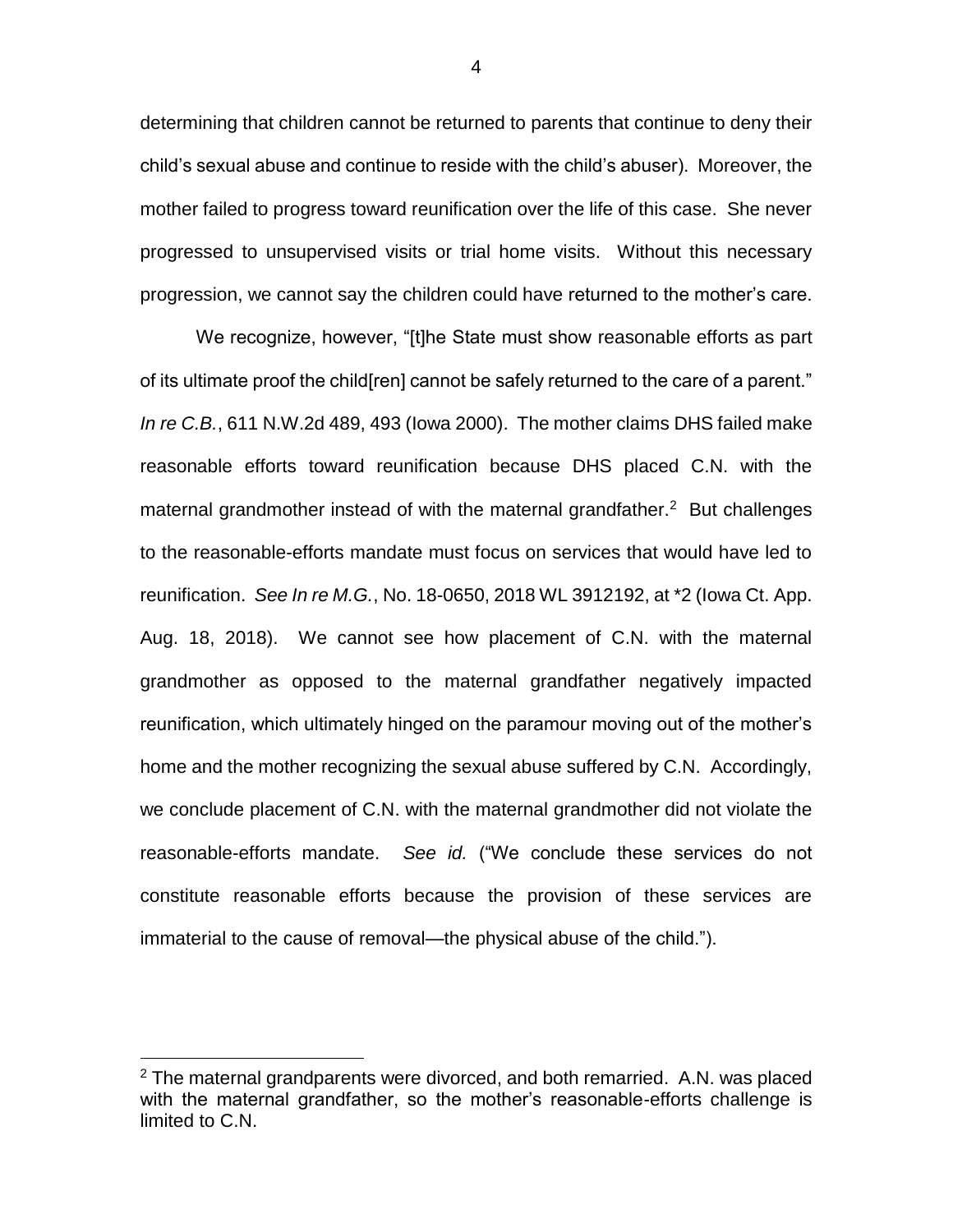determining that children cannot be returned to parents that continue to deny their child's sexual abuse and continue to reside with the child's abuser). Moreover, the mother failed to progress toward reunification over the life of this case. She never progressed to unsupervised visits or trial home visits. Without this necessary progression, we cannot say the children could have returned to the mother's care.

We recognize, however, "[t]he State must show reasonable efforts as part of its ultimate proof the child[ren] cannot be safely returned to the care of a parent." *In re C.B.*, 611 N.W.2d 489, 493 (Iowa 2000). The mother claims DHS failed make reasonable efforts toward reunification because DHS placed C.N. with the maternal grandmother instead of with the maternal grandfather. $2$  But challenges to the reasonable-efforts mandate must focus on services that would have led to reunification. *See In re M.G.*, No. 18-0650, 2018 WL 3912192, at \*2 (Iowa Ct. App. Aug. 18, 2018). We cannot see how placement of C.N. with the maternal grandmother as opposed to the maternal grandfather negatively impacted reunification, which ultimately hinged on the paramour moving out of the mother's home and the mother recognizing the sexual abuse suffered by C.N. Accordingly, we conclude placement of C.N. with the maternal grandmother did not violate the reasonable-efforts mandate. *See id.* ("We conclude these services do not constitute reasonable efforts because the provision of these services are immaterial to the cause of removal—the physical abuse of the child.").

 $\overline{a}$ 

4

 $2$  The maternal grandparents were divorced, and both remarried. A.N. was placed with the maternal grandfather, so the mother's reasonable-efforts challenge is limited to C.N.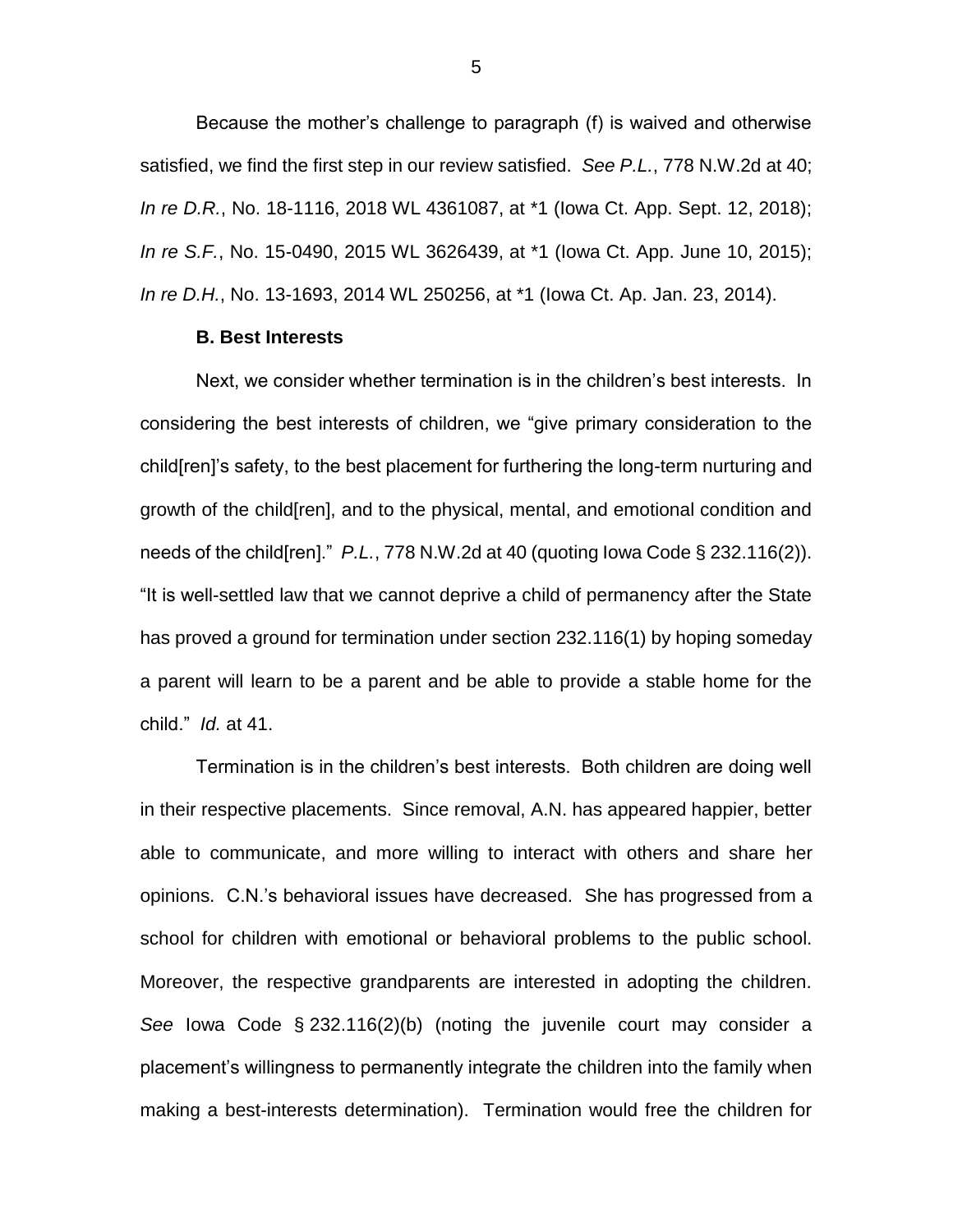Because the mother's challenge to paragraph (f) is waived and otherwise satisfied, we find the first step in our review satisfied. *See P.L.*, 778 N.W.2d at 40; *In re D.R.*, No. 18-1116, 2018 WL 4361087, at \*1 (Iowa Ct. App. Sept. 12, 2018); *In re S.F.*, No. 15-0490, 2015 WL 3626439, at \*1 (Iowa Ct. App. June 10, 2015); *In re D.H.*, No. 13-1693, 2014 WL 250256, at \*1 (Iowa Ct. Ap. Jan. 23, 2014).

#### **B. Best Interests**

Next, we consider whether termination is in the children's best interests. In considering the best interests of children, we "give primary consideration to the child[ren]'s safety, to the best placement for furthering the long-term nurturing and growth of the child[ren], and to the physical, mental, and emotional condition and needs of the child[ren]." *P.L.*, 778 N.W.2d at 40 (quoting Iowa Code § 232.116(2)). "It is well-settled law that we cannot deprive a child of permanency after the State has proved a ground for termination under section 232.116(1) by hoping someday a parent will learn to be a parent and be able to provide a stable home for the child." *Id.* at 41.

Termination is in the children's best interests. Both children are doing well in their respective placements. Since removal, A.N. has appeared happier, better able to communicate, and more willing to interact with others and share her opinions. C.N.'s behavioral issues have decreased. She has progressed from a school for children with emotional or behavioral problems to the public school. Moreover, the respective grandparents are interested in adopting the children. *See* Iowa Code § 232.116(2)(b) (noting the juvenile court may consider a placement's willingness to permanently integrate the children into the family when making a best-interests determination). Termination would free the children for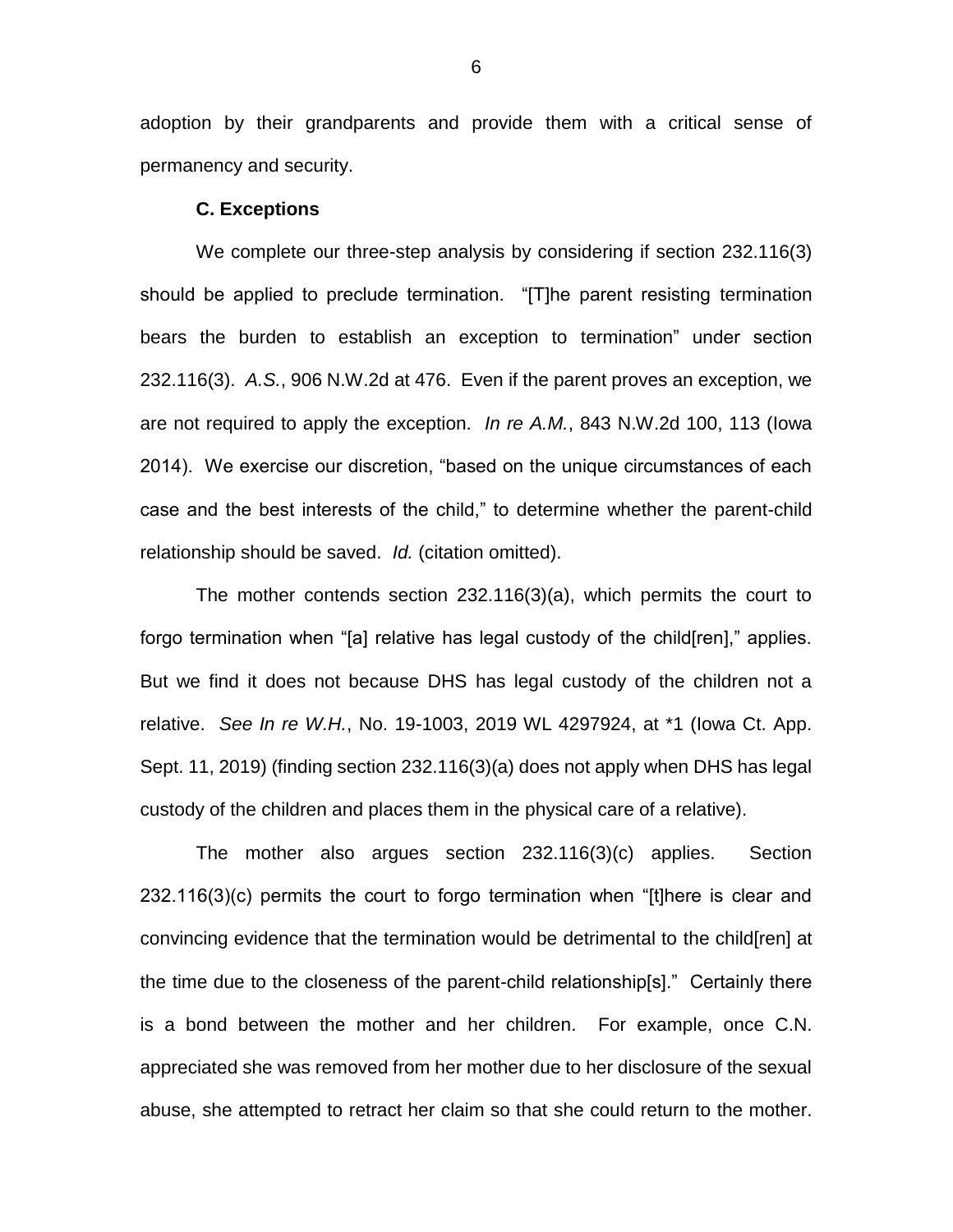adoption by their grandparents and provide them with a critical sense of permanency and security.

#### **C. Exceptions**

We complete our three-step analysis by considering if section 232.116(3) should be applied to preclude termination. "[T]he parent resisting termination bears the burden to establish an exception to termination" under section 232.116(3). *A.S.*, 906 N.W.2d at 476. Even if the parent proves an exception, we are not required to apply the exception. *In re A.M.*, 843 N.W.2d 100, 113 (Iowa 2014). We exercise our discretion, "based on the unique circumstances of each case and the best interests of the child," to determine whether the parent-child relationship should be saved. *Id.* (citation omitted).

The mother contends section 232.116(3)(a), which permits the court to forgo termination when "[a] relative has legal custody of the child[ren]," applies. But we find it does not because DHS has legal custody of the children not a relative. *See In re W.H.*, No. 19-1003, 2019 WL 4297924, at \*1 (Iowa Ct. App. Sept. 11, 2019) (finding section 232.116(3)(a) does not apply when DHS has legal custody of the children and places them in the physical care of a relative).

The mother also argues section 232.116(3)(c) applies. Section 232.116(3)(c) permits the court to forgo termination when "[t]here is clear and convincing evidence that the termination would be detrimental to the child[ren] at the time due to the closeness of the parent-child relationship[s]." Certainly there is a bond between the mother and her children. For example, once C.N. appreciated she was removed from her mother due to her disclosure of the sexual abuse, she attempted to retract her claim so that she could return to the mother.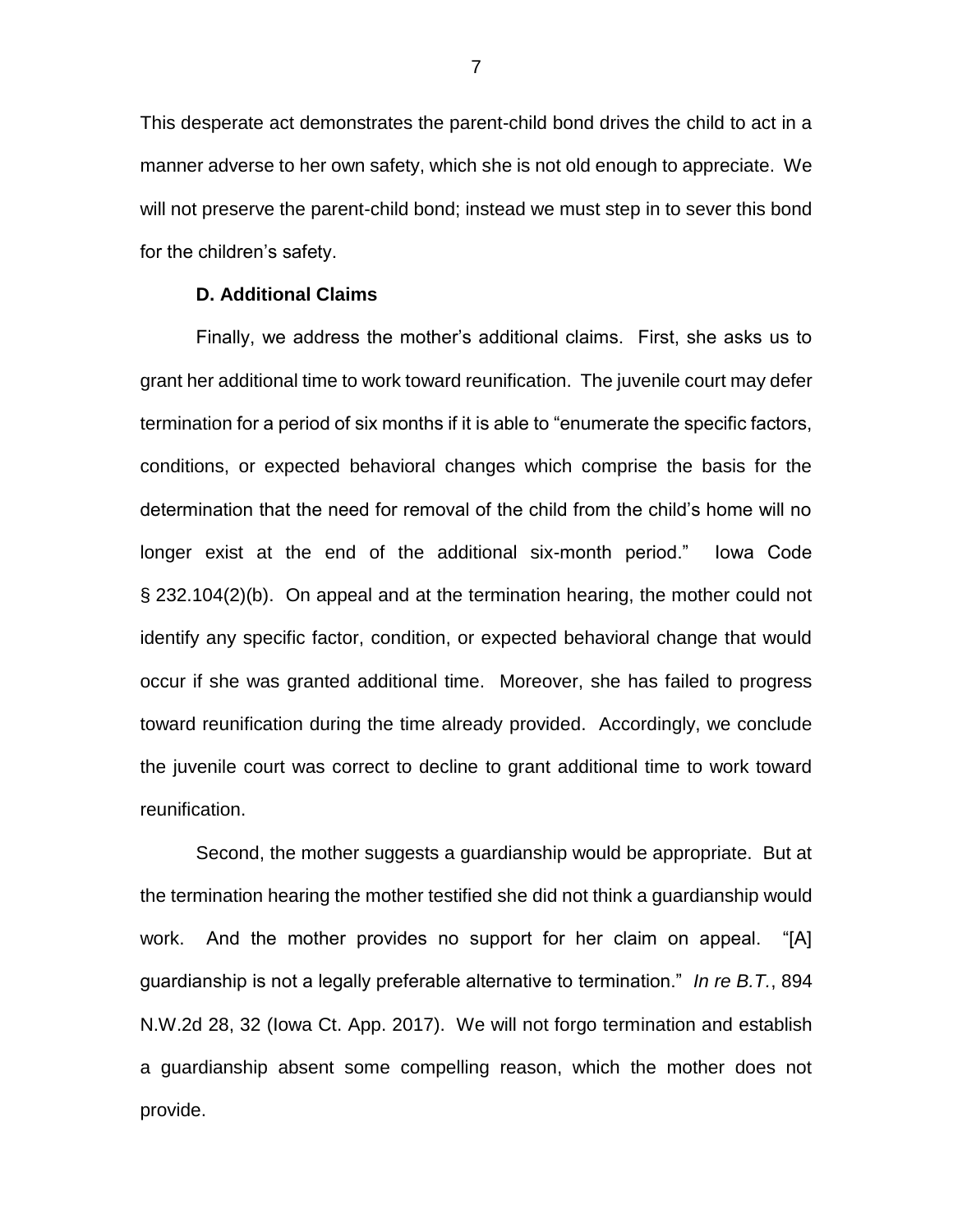This desperate act demonstrates the parent-child bond drives the child to act in a manner adverse to her own safety, which she is not old enough to appreciate. We will not preserve the parent-child bond; instead we must step in to sever this bond for the children's safety.

# **D. Additional Claims**

Finally, we address the mother's additional claims. First, she asks us to grant her additional time to work toward reunification. The juvenile court may defer termination for a period of six months if it is able to "enumerate the specific factors, conditions, or expected behavioral changes which comprise the basis for the determination that the need for removal of the child from the child's home will no longer exist at the end of the additional six-month period." Iowa Code § 232.104(2)(b). On appeal and at the termination hearing, the mother could not identify any specific factor, condition, or expected behavioral change that would occur if she was granted additional time. Moreover, she has failed to progress toward reunification during the time already provided. Accordingly, we conclude the juvenile court was correct to decline to grant additional time to work toward reunification.

Second, the mother suggests a guardianship would be appropriate. But at the termination hearing the mother testified she did not think a guardianship would work. And the mother provides no support for her claim on appeal. "[A] guardianship is not a legally preferable alternative to termination." *In re B.T.*, 894 N.W.2d 28, 32 (Iowa Ct. App. 2017). We will not forgo termination and establish a guardianship absent some compelling reason, which the mother does not provide.